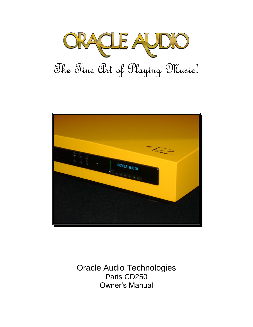



Oracle Audio Technologies Paris CD250 Owner's Manual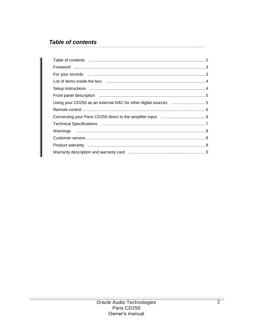# **Table of contents**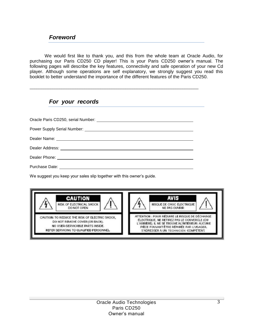We would first like to thank you, and this from the whole team at Oracle Audio, for purchasing our Paris CD250 CD player! This is your Paris CD250 owner's manual. The following pages will describe the key features, connectivity and safe operation of your new Cd player. Although some operations are self explanatory, we strongly suggest you read this booklet to better understand the importance of the different features of the Paris CD250.

### *For your records*

\_\_\_\_\_\_\_\_\_\_\_\_\_\_\_\_\_\_\_\_\_\_\_\_\_\_\_\_\_\_\_\_\_\_\_\_\_\_\_\_\_\_\_\_\_\_\_\_\_\_\_\_\_\_\_\_\_\_\_\_\_\_\_\_\_\_\_\_\_\_\_\_\_\_

We suggest you keep your sales slip together with this owner's guide.

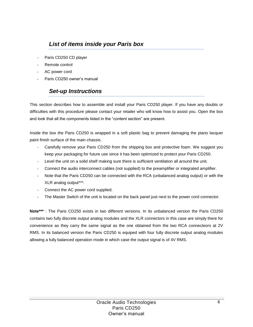## *List of items inside your Paris box*

- Paris CD250 CD player
- Remote control
- AC power cord
- Paris CD250 owner's manual

# *Set-up Instructions*

This section describes how to assemble and install your Paris CD250 player. If you have any doubts or difficulties with this procedure please contact your retailer who will know how to assist you. Open the box and look that all the components listed in the "content section" are present.

Inside the box the Paris CD250 is wrapped in a soft plastic bag to prevent damaging the piano lacquer paint finish surface of the main chassis.

- Carefully remove your Paris CD250 from the shipping box and protective foam. We suggest you keep your packaging for future use since it has been optimized to protect your Paris CD250.
- Level the unit on a solid shelf making sure there is sufficient ventilation all around the unit.
- Connect the audio interconnect cables (not supplied) to the preamplifier or integrated amplifier.
- Note that the Paris CD250 can be connected with the RCA (unbalanced analog output) or with the XLR analog output\*\*\*.
- Connect the AC power cord supplied.
- The Master Switch of the unit is located on the back panel just next to the power cord connector.

**Note\*\*\*** : The Paris CD250 exists in two different versions. In its unbalanced version the Paris CD250 contains two fully discrete output analog modules and the XLR connectors in this case are simply there for convenience as they carry the same signal as the one obtained from the two RCA connecteors at 2V RMS. In its balanced version the Paris CD250 is equiped with four fully discrete output analog modules allowing a fully balanced operation mode in which case the output signal is of 4V RMS.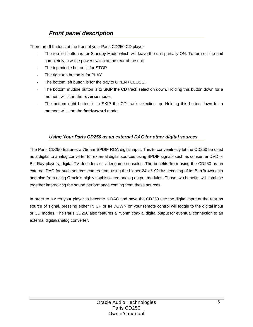# *Front panel description*

There are 6 buttons at the front of your Paris CD250 CD player

- The top left button is for Standby Mode which will leave the unit partially ON. To turn off the unit completely, use the power switch at the rear of the unit.
- The top middle button is for STOP.
- The right top button is for PLAY.
- The bottom left button is for the tray to OPEN / CLOSE.
- The bottom muddle button is to SKIP the CD track selection down. Holding this button down for a moment will start the **reverse** mode.
- The bottom right button is to SKIP the CD track selection up. Holding this button down for a moment will start the **fastforward** mode.

#### *Using Your Paris CD250 as an external DAC for other digital sources*

The Paris CD250 features a 75ohm SPDIF RCA digital input. This to convenitnetly let the CD250 be used as a digital to analog converter for external digital sources using SPDIF signals such as consumer DVD or Blu-Ray players, digital TV decoders or videogame consoles. The benefits from using the CD250 as an external DAC for such sources comes from using the higher 24bit/192khz decoding of its BurrBrown chip and also from using Oracle's highly sophisticated analog output modules. Those two benefits will combine together improoving the sound performance coming from these sources.

In order to switch your player to become a DAC and have the CD250 use the digital input at the rear as source of signal, pressing either IN UP or IN DOWN on your remote control will toggle to the digital input or CD modes. The Paris CD250 also features a 75ohm coaxial digital output for eventual connection to an external digital/analog converter.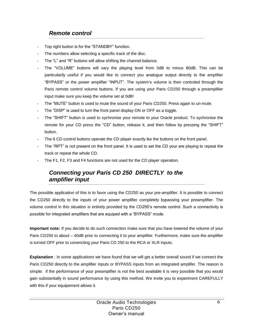## *Remote control*

- Top right button is for the "STANDBY" function.
- The numbers allow selecting a specific track of the disc.
- The "L" and "R" buttons will allow shifting the channel balance.
- The "VOLUME" buttons will vary the playing level from 0dB to minus 80dB. This can be particularily useful if you would like to connect you analogue output directly to the amplifier "BYPASS" or the power amplifier "INPUT". The system's volume is then controled through the Paris remote control volume buttons. If you are using your Paris CD250 through a preamplifier input make sure you keep the volume set at 0dB!
- The "MUTE" button is used to mute the sound of your Paris CD250. Press again to un-mute.
- The "DISP" is used to turn the front panel display ON or OFF as a toggle.
- The "SHIFT" button is used to sychronise your remote to your Oracle product. To sychronise the remote for your CD press the "CD" button, release it, and then follow by pressing the "SHIFT" button.
- The 6 CD control buttons operate the CD player exactly ike the buttons on the front panel.
- The "RPT" is not present on the front panel. It is used to set the CD your are playing to repeat the track or repeat the whole CD.
- The F1, F2, F3 and F4 functions are not used for the CD player operation.

## *Connecting your Paris CD 250 DIRECTLY to the amplifier input*

The possible application of this is to favor using the CD250 as your pre-amplifier. It is possible to connect the CD250 directly to the inputs of your power amplifier completely bypassing your preamplifier. The volume control in this situation is entirely provided by the CD250's remote control. Such a connectivity is possible for integrated amplifiers that are equiped with a "BYPASS" mode.

**Important note:** If you decide to do such connection make sure that you have lowered the volume of your Paris CD250 to about – 40dB prior to connecting it to your amplifier. Furthermore, make sure the amplifier is turned OFF prior to conencting your Paris CD 250 to the RCA or XLR inputs.

**Explanation** : In some applications we have found that we will get a better overall sound if we connect the Paris CD250 directly to the amplifier inputs or BYPASS inputs from an integrated amplifer. The reason is simple: if the performance of your preamplifier is not the best available it is very possible that you would gain substantially in sound performance by using this method. We invite you to experiment CAREFULLY with this if your equipement allows it.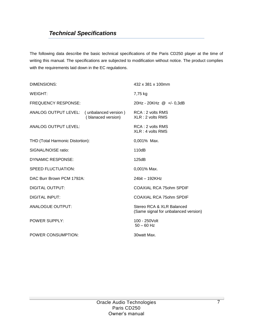## *Technical Specifications*

The following data describe the basic technical specifications of the Paris CD250 player at the time of writing this manual. The specifications are subjected to modification without notice. The product complies with the requirements laid down in the EC regulations.

| DIMENSIONS:                                                |                    | 432 x 381 x 100mm                                                 |
|------------------------------------------------------------|--------------------|-------------------------------------------------------------------|
| WEIGHT:                                                    |                    | 7,75 kg                                                           |
| <b>FREQUENCY RESPONSE:</b>                                 |                    | 20Hz - 20KHz @ +/- 0,3dB                                          |
| ANALOG OUTPUT LEVEL: (unbalanced version) RCA: 2 volts RMS | (blanaced version) | $XLR:2$ volts RMS                                                 |
| <b>ANALOG OUTPUT LEVEL:</b>                                |                    | RCA: 2 volts RMS<br>$XLR:4$ volts RMS                             |
| THD (Total Harmonic Distortion):                           |                    | 0,001% Max.                                                       |
| SIGNAL/NOISE ratio:                                        |                    | 110dB                                                             |
| <b>DYNAMIC RESPONSE:</b>                                   |                    | 125dB                                                             |
| <b>SPEED FLUCTUATION:</b>                                  |                    | 0,001% Max.                                                       |
| DAC Burr Brown PCM 1792A:                                  |                    | 24bit - 192KHz                                                    |
| <b>DIGITAL OUTPUT:</b>                                     |                    | <b>COAXIAL RCA 750hm SPDIF</b>                                    |
| <b>DIGITAL INPUT:</b>                                      |                    | <b>COAXIAL RCA 75ohm SPDIF</b>                                    |
| <b>ANALOGUE OUTPUT:</b>                                    |                    | Stereo RCA & XLR Balanced<br>(Same signal for unbalanced version) |
| POWER SUPPLY:                                              |                    | 100 - 250 Volt<br>$50 - 60$ Hz                                    |
| POWER CONSUMPTION:                                         |                    | 30watt Max.                                                       |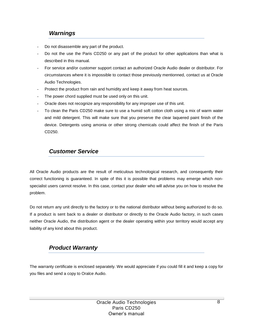#### *Warnings*

- Do not disassemble any part of the product.
- Do not the use the Paris CD250 or any part of the product for other applications than what is described in this manual.
- For service and/or customer support contact an authorized Oracle Audio dealer or distributor. For circumstances where it is impossible to contact those previously mentionned, contact us at Oracle Audio Technologies.
- Protect the product from rain and humidity and keep it away from heat sources.
- The power chord supplied must be used only on this unit.
- Oracle does not recognize any responsibility for any improper use of this unit.
- To clean the Paris CD250 make sure to use a humid soft cotton cloth using a mix of warm water and mild detergent. This will make sure that you preserve the clear laquered paint finish of the device. Detergents using amonia or other strong chemicals could affect the finish of the Paris CD250.

#### *Customer Service*

All Oracle Audio products are the result of meticulous technological research, and consequently their correct functioning is guaranteed. In spite of this it is possible that problems may emerge which nonspecialist users cannot resolve. In this case, contact your dealer who will advise you on how to resolve the problem.

Do not return any unit directly to the factory or to the national distributor without being authorized to do so. If a product is sent back to a dealer or distributor or directly to the Oracle Audio factory, in such cases neither Oracle Audio, the distribution agent or the dealer operating within your territory would accept any liability of any kind about this product.

### *Product Warranty*

The warranty certificate is enclosed separately. We would appreciate if you could fill it and keep a copy for you files and send a copy to Oralce Audio.